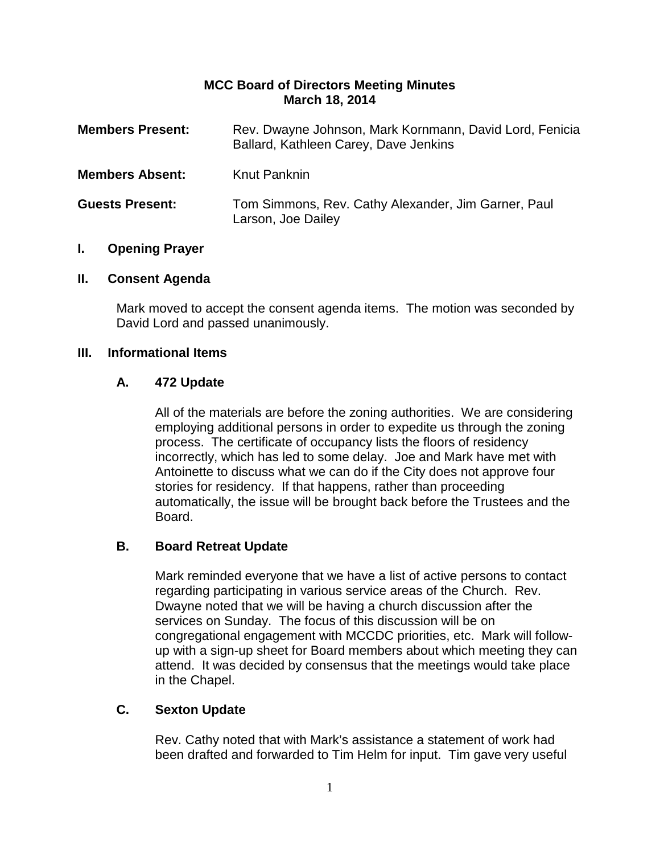#### **MCC Board of Directors Meeting Minutes March 18, 2014**

| <b>Members Present:</b> | Rev. Dwayne Johnson, Mark Kornmann, David Lord, Fenicia<br>Ballard, Kathleen Carey, Dave Jenkins |
|-------------------------|--------------------------------------------------------------------------------------------------|
| <b>Members Absent:</b>  | Knut Panknin                                                                                     |
| <b>Guests Present:</b>  | Tom Simmons, Rev. Cathy Alexander, Jim Garner, Paul<br>Larson, Joe Dailey                        |

#### **I. Opening Prayer**

#### **II. Consent Agenda**

Mark moved to accept the consent agenda items. The motion was seconded by David Lord and passed unanimously.

#### **III. Informational Items**

#### **A. 472 Update**

All of the materials are before the zoning authorities. We are considering employing additional persons in order to expedite us through the zoning process. The certificate of occupancy lists the floors of residency incorrectly, which has led to some delay. Joe and Mark have met with Antoinette to discuss what we can do if the City does not approve four stories for residency. If that happens, rather than proceeding automatically, the issue will be brought back before the Trustees and the Board.

#### **B. Board Retreat Update**

Mark reminded everyone that we have a list of active persons to contact regarding participating in various service areas of the Church. Rev. Dwayne noted that we will be having a church discussion after the services on Sunday. The focus of this discussion will be on congregational engagement with MCCDC priorities, etc. Mark will followup with a sign-up sheet for Board members about which meeting they can attend. It was decided by consensus that the meetings would take place in the Chapel.

# **C. Sexton Update**

Rev. Cathy noted that with Mark's assistance a statement of work had been drafted and forwarded to Tim Helm for input. Tim gave very useful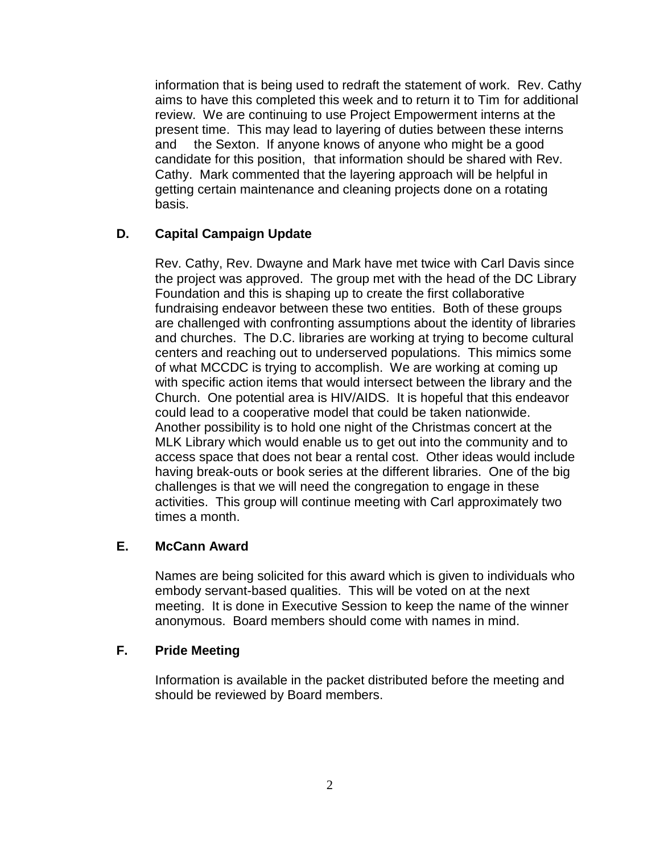information that is being used to redraft the statement of work. Rev. Cathy aims to have this completed this week and to return it to Tim for additional review. We are continuing to use Project Empowerment interns at the present time. This may lead to layering of duties between these interns and the Sexton. If anyone knows of anyone who might be a good candidate for this position, that information should be shared with Rev. Cathy. Mark commented that the layering approach will be helpful in getting certain maintenance and cleaning projects done on a rotating basis.

## **D. Capital Campaign Update**

Rev. Cathy, Rev. Dwayne and Mark have met twice with Carl Davis since the project was approved. The group met with the head of the DC Library Foundation and this is shaping up to create the first collaborative fundraising endeavor between these two entities. Both of these groups are challenged with confronting assumptions about the identity of libraries and churches. The D.C. libraries are working at trying to become cultural centers and reaching out to underserved populations. This mimics some of what MCCDC is trying to accomplish. We are working at coming up with specific action items that would intersect between the library and the Church. One potential area is HIV/AIDS. It is hopeful that this endeavor could lead to a cooperative model that could be taken nationwide. Another possibility is to hold one night of the Christmas concert at the MLK Library which would enable us to get out into the community and to access space that does not bear a rental cost. Other ideas would include having break-outs or book series at the different libraries. One of the big challenges is that we will need the congregation to engage in these activities. This group will continue meeting with Carl approximately two times a month.

#### **E. McCann Award**

Names are being solicited for this award which is given to individuals who embody servant-based qualities. This will be voted on at the next meeting. It is done in Executive Session to keep the name of the winner anonymous. Board members should come with names in mind.

#### **F. Pride Meeting**

Information is available in the packet distributed before the meeting and should be reviewed by Board members.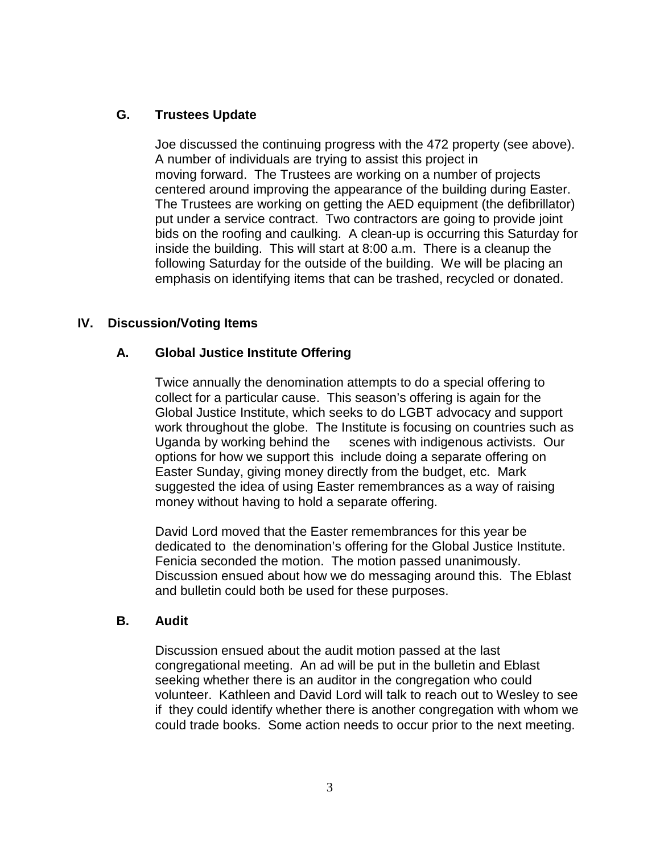### **G. Trustees Update**

Joe discussed the continuing progress with the 472 property (see above). A number of individuals are trying to assist this project in moving forward. The Trustees are working on a number of projects centered around improving the appearance of the building during Easter. The Trustees are working on getting the AED equipment (the defibrillator) put under a service contract. Two contractors are going to provide joint bids on the roofing and caulking. A clean-up is occurring this Saturday for inside the building. This will start at 8:00 a.m. There is a cleanup the following Saturday for the outside of the building. We will be placing an emphasis on identifying items that can be trashed, recycled or donated.

## **IV. Discussion/Voting Items**

#### **A. Global Justice Institute Offering**

Twice annually the denomination attempts to do a special offering to collect for a particular cause. This season's offering is again for the Global Justice Institute, which seeks to do LGBT advocacy and support work throughout the globe. The Institute is focusing on countries such as Uganda by working behind the scenes with indigenous activists. Our options for how we support this include doing a separate offering on Easter Sunday, giving money directly from the budget, etc. Mark suggested the idea of using Easter remembrances as a way of raising money without having to hold a separate offering.

David Lord moved that the Easter remembrances for this year be dedicated to the denomination's offering for the Global Justice Institute. Fenicia seconded the motion. The motion passed unanimously. Discussion ensued about how we do messaging around this. The Eblast and bulletin could both be used for these purposes.

#### **B. Audit**

Discussion ensued about the audit motion passed at the last congregational meeting. An ad will be put in the bulletin and Eblast seeking whether there is an auditor in the congregation who could volunteer. Kathleen and David Lord will talk to reach out to Wesley to see if they could identify whether there is another congregation with whom we could trade books. Some action needs to occur prior to the next meeting.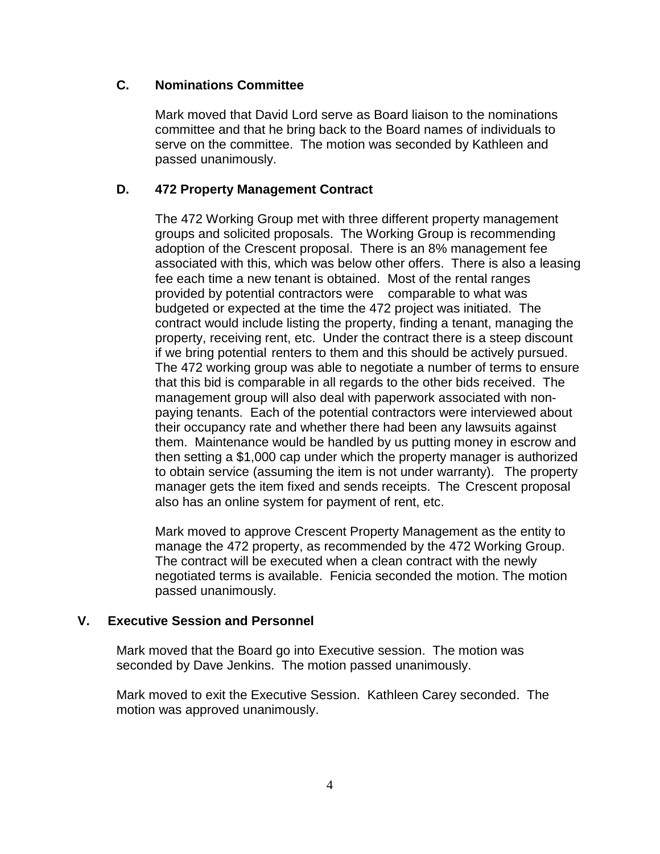### **C. Nominations Committee**

Mark moved that David Lord serve as Board liaison to the nominations committee and that he bring back to the Board names of individuals to serve on the committee. The motion was seconded by Kathleen and passed unanimously.

## **D. 472 Property Management Contract**

The 472 Working Group met with three different property management groups and solicited proposals. The Working Group is recommending adoption of the Crescent proposal. There is an 8% management fee associated with this, which was below other offers. There is also a leasing fee each time a new tenant is obtained. Most of the rental ranges provided by potential contractors were comparable to what was budgeted or expected at the time the 472 project was initiated. The contract would include listing the property, finding a tenant, managing the property, receiving rent, etc. Under the contract there is a steep discount if we bring potential renters to them and this should be actively pursued. The 472 working group was able to negotiate a number of terms to ensure that this bid is comparable in all regards to the other bids received. The management group will also deal with paperwork associated with nonpaying tenants. Each of the potential contractors were interviewed about their occupancy rate and whether there had been any lawsuits against them. Maintenance would be handled by us putting money in escrow and then setting a \$1,000 cap under which the property manager is authorized to obtain service (assuming the item is not under warranty). The property manager gets the item fixed and sends receipts. The Crescent proposal also has an online system for payment of rent, etc.

Mark moved to approve Crescent Property Management as the entity to manage the 472 property, as recommended by the 472 Working Group. The contract will be executed when a clean contract with the newly negotiated terms is available. Fenicia seconded the motion. The motion passed unanimously.

#### **V. Executive Session and Personnel**

Mark moved that the Board go into Executive session. The motion was seconded by Dave Jenkins. The motion passed unanimously.

Mark moved to exit the Executive Session. Kathleen Carey seconded. The motion was approved unanimously.